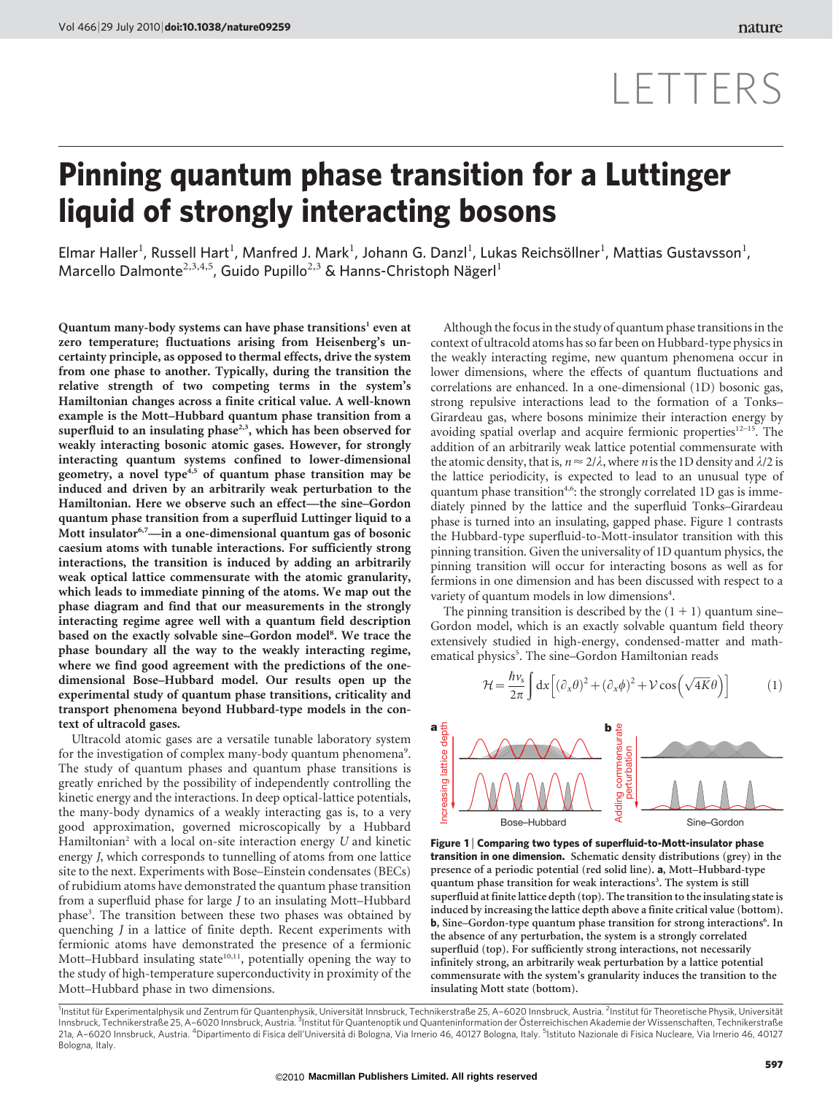# LETTERS

## Pinning quantum phase transition for a Luttinger liquid of strongly interacting bosons

Elmar Haller<sup>1</sup>, Russell Hart<sup>1</sup>, Manfred J. Mark<sup>1</sup>, Johann G. Danzl<sup>1</sup>, Lukas Reichsöllner<sup>1</sup>, Mattias Gustavsson<sup>1</sup>, Marcello Dalmonte<sup>2,3,4,5</sup>, Guido Pupillo<sup>2,3</sup> & Hanns-Christoph Nägerl<sup>1</sup>

Quantum many-body systems can have phase transitions<sup>1</sup> even at zero temperature; fluctuations arising from Heisenberg's uncertainty principle, as opposed to thermal effects, drive the system from one phase to another. Typically, during the transition the relative strength of two competing terms in the system's Hamiltonian changes across a finite critical value. A well-known example is the Mott–Hubbard quantum phase transition from a superfluid to an insulating phase<sup>2,3</sup>, which has been observed for weakly interacting bosonic atomic gases. However, for strongly interacting quantum systems confined to lower-dimensional geometry, a novel type<sup>4,5</sup> of quantum phase transition may be induced and driven by an arbitrarily weak perturbation to the Hamiltonian. Here we observe such an effect—the sine–Gordon quantum phase transition from a superfluid Luttinger liquid to a Mott insulator<sup>6,7</sup>—in a one-dimensional quantum gas of bosonic caesium atoms with tunable interactions. For sufficiently strong interactions, the transition is induced by adding an arbitrarily weak optical lattice commensurate with the atomic granularity, which leads to immediate pinning of the atoms. We map out the phase diagram and find that our measurements in the strongly interacting regime agree well with a quantum field description based on the exactly solvable sine-Gordon model<sup>8</sup>. We trace the phase boundary all the way to the weakly interacting regime, where we find good agreement with the predictions of the onedimensional Bose–Hubbard model. Our results open up the experimental study of quantum phase transitions, criticality and transport phenomena beyond Hubbard-type models in the context of ultracold gases.

Ultracold atomic gases are a versatile tunable laboratory system for the investigation of complex many-body quantum phenomena<sup>9</sup>. The study of quantum phases and quantum phase transitions is greatly enriched by the possibility of independently controlling the kinetic energy and the interactions. In deep optical-lattice potentials, the many-body dynamics of a weakly interacting gas is, to a very good approximation, governed microscopically by a Hubbard Hamiltonian<sup>2</sup> with a local on-site interaction energy  $U$  and kinetic energy J, which corresponds to tunnelling of atoms from one lattice site to the next. Experiments with Bose–Einstein condensates (BECs) of rubidium atoms have demonstrated the quantum phase transition from a superfluid phase for large J to an insulating Mott–Hubbard phase<sup>3</sup>. The transition between these two phases was obtained by quenching J in a lattice of finite depth. Recent experiments with fermionic atoms have demonstrated the presence of a fermionic Mott-Hubbard insulating state<sup>10,11</sup>, potentially opening the way to the study of high-temperature superconductivity in proximity of the Mott–Hubbard phase in two dimensions.

Although the focus in the study of quantum phase transitions in the context of ultracold atoms has so far been on Hubbard-type physics in the weakly interacting regime, new quantum phenomena occur in lower dimensions, where the effects of quantum fluctuations and correlations are enhanced. In a one-dimensional (1D) bosonic gas, strong repulsive interactions lead to the formation of a Tonks– Girardeau gas, where bosons minimize their interaction energy by avoiding spatial overlap and acquire fermionic properties<sup>12-15</sup>. The addition of an arbitrarily weak lattice potential commensurate with the atomic density, that is,  $n \approx 2/\lambda$ , where *n* is the 1D density and  $\lambda/2$  is the lattice periodicity, is expected to lead to an unusual type of quantum phase transition<sup>4,6</sup>: the strongly correlated 1D gas is immediately pinned by the lattice and the superfluid Tonks–Girardeau phase is turned into an insulating, gapped phase. Figure 1 contrasts the Hubbard-type superfluid-to-Mott-insulator transition with this pinning transition. Given the universality of 1D quantum physics, the pinning transition will occur for interacting bosons as well as for fermions in one dimension and has been discussed with respect to a variety of quantum models in low dimensions<sup>4</sup>.

The pinning transition is described by the  $(1 + 1)$  quantum sine– Gordon model, which is an exactly solvable quantum field theory extensively studied in high-energy, condensed-matter and mathematical physics<sup>5</sup>. The sine-Gordon Hamiltonian reads

$$
\mathcal{H} = \frac{\hbar v_s}{2\pi} \int dx \left[ (\partial_x \theta)^2 + (\partial_x \phi)^2 + \mathcal{V} \cos \left( \sqrt{4K} \theta \right) \right]
$$
 (1)



Figure 1 | Comparing two types of superfluid-to-Mott-insulator phase transition in one dimension. Schematic density distributions (grey) in the presence of a periodic potential (red solid line). a, Mott–Hubbard-type quantum phase transition for weak interactions<sup>3</sup>. The system is still superfluid at finite lattice depth (top). The transition to the insulating state is induced by increasing the lattice depth above a finite critical value (bottom). b, Sine-Gordon-type quantum phase transition for strong interactions<sup>6</sup>. In the absence of any perturbation, the system is a strongly correlated superfluid (top). For sufficiently strong interactions, not necessarily infinitely strong, an arbitrarily weak perturbation by a lattice potential commensurate with the system's granularity induces the transition to the insulating Mott state (bottom).

1<sub>Institut</sub> für Experimentalphysik und Zentrum für Quantenphysik, Universität Innsbruck, Technikerstraße 25, A–6020 Innsbruck, Austria. <sup>2</sup>Institut für Theoretische Physik, Universität Innsbruck, Technikerstraße 25, A–6020 Innsbruck, Austria. <sup>3</sup>Institut für Quantenoptik und Quanteninformation der Österreichischen Akademie der Wissenschaften, Technikerstraße<br>21a, A–6020 Innsbruck, Austria. <sup>4</sup>Dipartiment Bologna, Italy.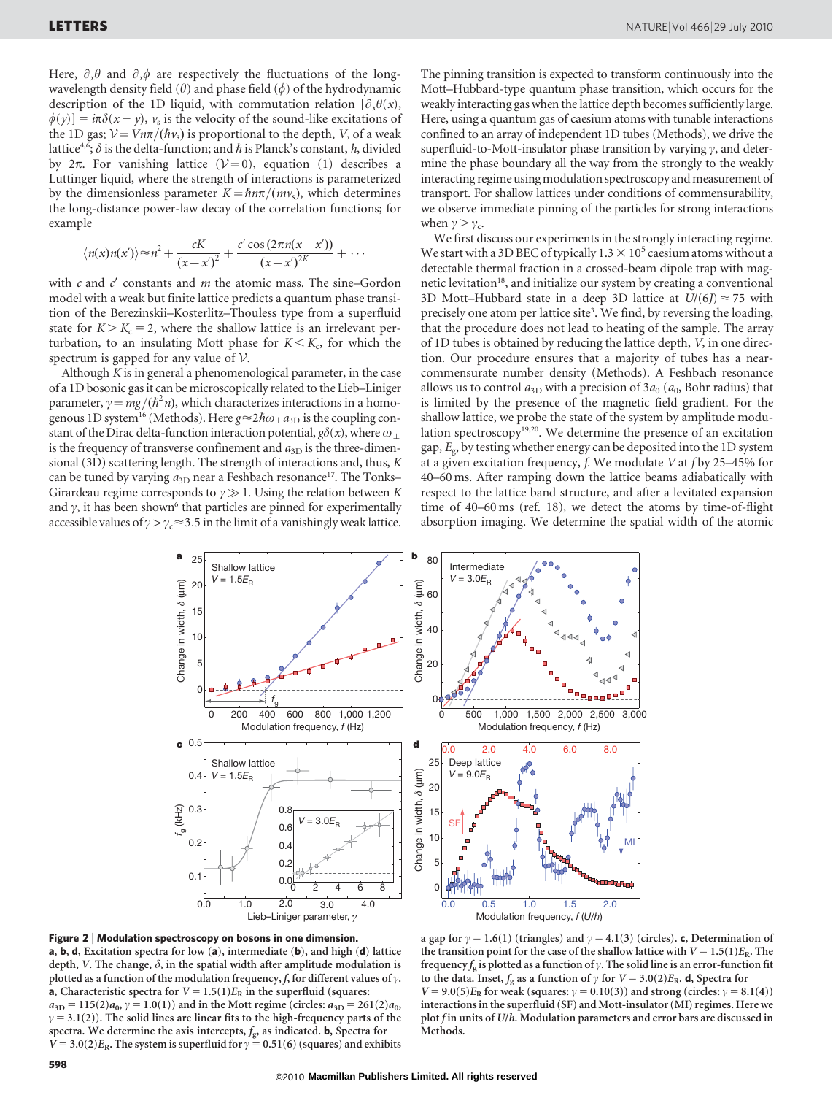Here,  $\partial_x \theta$  and  $\partial_x \phi$  are respectively the fluctuations of the longwavelength density field  $(\theta)$  and phase field  $(\phi)$  of the hydrodynamic description of the 1D liquid, with commutation relation  $[\partial_x \theta(x)]$ ,  $\phi(y)$ ] =  $i\pi\delta(x - y)$ ,  $v_s$  is the velocity of the sound-like excitations of the 1D gas;  $V=Vn\pi/(\hbar v_s)$  is proportional to the depth, V, of a weak lattice<sup>4,6</sup>;  $\delta$  is the delta-function; and h is Planck's constant, h, divided by  $2\pi$ . For vanishing lattice  $(\mathcal{V}=0)$ , equation (1) describes a Luttinger liquid, where the strength of interactions is parameterized by the dimensionless parameter  $K=\hbar n\pi/(m\nu_s)$ , which determines the long-distance power-law decay of the correlation functions; for example

$$
\langle n(x)n(x')\rangle \approx n^2 + \frac{cK}{(x-x')^2} + \frac{c'\cos(2\pi n(x-x'))}{(x-x')^{2K}} + \cdots
$$

with  $c$  and  $c'$  constants and  $m$  the atomic mass. The sine–Gordon model with a weak but finite lattice predicts a quantum phase transition of the Berezinskii–Kosterlitz–Thouless type from a superfluid state for  $K > K_c = 2$ , where the shallow lattice is an irrelevant perturbation, to an insulating Mott phase for  $K \leq K_c$ , for which the spectrum is gapped for any value of  $V$ .

Although  $K$  is in general a phenomenological parameter, in the case of a 1D bosonic gas it can be microscopically related to the Lieb–Liniger parameter,  $\gamma = mg/(\hbar^2 n)$ , which characterizes interactions in a homogenous 1D system<sup>16</sup> (Methods). Here  $g \approx 2\hbar\omega_1 a_{3D}$  is the coupling constant of the Dirac delta-function interaction potential,  $g\delta(x)$ , where  $\omega_\perp$ is the frequency of transverse confinement and  $a_{3D}$  is the three-dimensional (3D) scattering length. The strength of interactions and, thus, K can be tuned by varying  $a_{3D}$  near a Feshbach resonance<sup>17</sup>. The Tonks– Girardeau regime corresponds to  $\gamma \gg 1$ . Using the relation between K and  $\gamma$ , it has been shown<sup>6</sup> that particles are pinned for experimentally accessible values of  $\gamma > \gamma_c \approx 3.5$  in the limit of a vanishingly weak lattice.

The pinning transition is expected to transform continuously into the Mott–Hubbard-type quantum phase transition, which occurs for the weakly interacting gas when the lattice depth becomes sufficiently large. Here, using a quantum gas of caesium atoms with tunable interactions confined to an array of independent 1D tubes (Methods), we drive the superfluid-to-Mott-insulator phase transition by varying  $\gamma$ , and determine the phase boundary all the way from the strongly to the weakly interacting regime using modulation spectroscopy and measurement of transport. For shallow lattices under conditions of commensurability, we observe immediate pinning of the particles for strong interactions when  $\gamma > \gamma_c$ .

We first discuss our experiments in the strongly interacting regime. We start with a 3D BEC of typically  $1.3 \times 10^5$  caesium atoms without a detectable thermal fraction in a crossed-beam dipole trap with magnetic levitation<sup>18</sup>, and initialize our system by creating a conventional 3D Mott–Hubbard state in a deep 3D lattice at  $U/(6*I*) \approx 75$  with precisely one atom per lattice site<sup>3</sup>. We find, by reversing the loading, that the procedure does not lead to heating of the sample. The array of 1D tubes is obtained by reducing the lattice depth, V, in one direction. Our procedure ensures that a majority of tubes has a nearcommensurate number density (Methods). A Feshbach resonance allows us to control  $a_{3D}$  with a precision of  $3a_0$  ( $a_0$ , Bohr radius) that is limited by the presence of the magnetic field gradient. For the shallow lattice, we probe the state of the system by amplitude modulation spectroscopy<sup>19,20</sup>. We determine the presence of an excitation gap,  $E_{\rm g}$ , by testing whether energy can be deposited into the 1D system at a given excitation frequency,  $f$ . We modulate V at  $f$  by 25–45% for 40–60 ms. After ramping down the lattice beams adiabatically with respect to the lattice band structure, and after a levitated expansion time of 40–60 ms (ref. 18), we detect the atoms by time-of-flight absorption imaging. We determine the spatial width of the atomic



Figure 2 <sup>|</sup> Modulation spectroscopy on bosons in one dimension. a, b, d, Excitation spectra for low (a), intermediate (b), and high (d) lattice depth, V. The change,  $\delta$ , in the spatial width after amplitude modulation is plotted as a function of the modulation frequency, f, for different values of  $\gamma$ . **a**, Characteristic spectra for  $V = 1.5(1)E_R$  in the superfluid (squares:  $a_{3D} = 115(2)a_{0}$ ,  $\gamma = 1.0(1)$ ) and in the Mott regime (circles:  $a_{3D} = 261(2)a_{0}$ ,  $\gamma = 3.1(2)$ ). The solid lines are linear fits to the high-frequency parts of the spectra. We determine the axis intercepts,  $f_g$ , as indicated. **b**, Spectra for  $V = 3.0(2)E_R$ . The system is superfluid for  $\gamma = 0.51(6)$  (squares) and exhibits

a gap for  $\gamma = 1.6(1)$  (triangles) and  $\gamma = 4.1(3)$  (circles). c, Determination of the transition point for the case of the shallow lattice with  $V = 1.5(1)E_R$ . The frequency  $f_g$  is plotted as a function of  $\gamma$ . The solid line is an error-function fit to the data. Inset,  $f_g$  as a function of  $\gamma$  for  $V = 3.0(2)E_R$ . d, Spectra for  $V = 9.0(5)E_R$  for weak (squares:  $\gamma = 0.10(3)$ ) and strong (circles:  $\gamma = 8.1(4)$ ) interactions in the superfluid (SF) and Mott-insulator (MI) regimes. Here we plot f in units of U/h. Modulation parameters and error bars are discussed in Methods.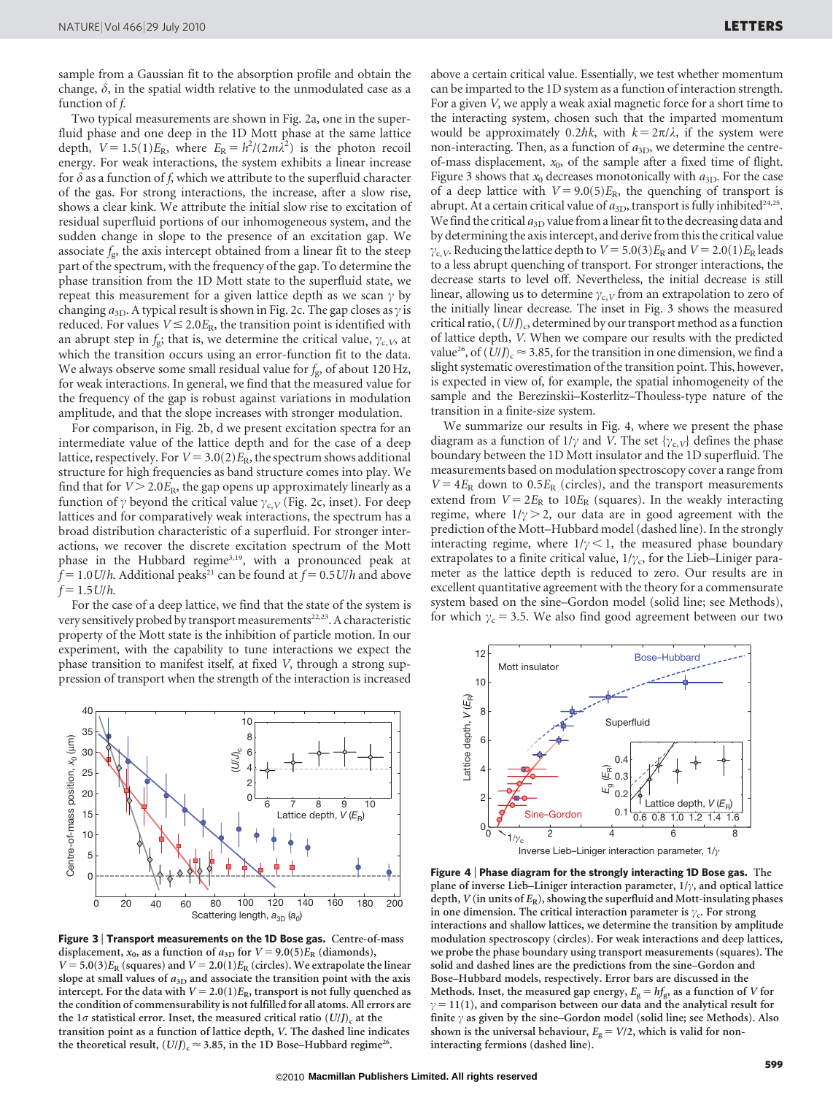sample from a Gaussian fit to the absorption profile and obtain the change,  $\delta$ , in the spatial width relative to the unmodulated case as a function of f.

Two typical measurements are shown in Fig. 2a, one in the superfluid phase and one deep in the 1D Mott phase at the same lattice depth,  $V = 1.5(1)E_R$ , where  $E_R = h^2/(2m\lambda^2)$  is the photon recoil energy. For weak interactions, the system exhibits a linear increase for  $\delta$  as a function of f, which we attribute to the superfluid character of the gas. For strong interactions, the increase, after a slow rise, shows a clear kink. We attribute the initial slow rise to excitation of residual superfluid portions of our inhomogeneous system, and the sudden change in slope to the presence of an excitation gap. We associate  $f_{\rm g}$ , the axis intercept obtained from a linear fit to the steep part of the spectrum, with the frequency of the gap. To determine the phase transition from the 1D Mott state to the superfluid state, we repeat this measurement for a given lattice depth as we scan  $\gamma$  by changing  $a_{3D}$ . A typical result is shown in Fig. 2c. The gap closes as  $\gamma$  is reduced. For values  $V \le 2.0E_R$ , the transition point is identified with an abrupt step in  $f_g$ ; that is, we determine the critical value,  $\gamma_{c,V}$ , at which the transition occurs using an error-function fit to the data. We always observe some small residual value for  $f_g$ , of about 120 Hz, for weak interactions. In general, we find that the measured value for the frequency of the gap is robust against variations in modulation amplitude, and that the slope increases with stronger modulation.

For comparison, in Fig. 2b, d we present excitation spectra for an intermediate value of the lattice depth and for the case of a deep lattice, respectively. For  $V = 3.0(2)E_R$ , the spectrum shows additional structure for high frequencies as band structure comes into play. We find that for  $V > 2.0E_R$ , the gap opens up approximately linearly as a function of  $\gamma$  beyond the critical value  $\gamma_{c,V}$  (Fig. 2c, inset). For deep lattices and for comparatively weak interactions, the spectrum has a broad distribution characteristic of a superfluid. For stronger interactions, we recover the discrete excitation spectrum of the Mott phase in the Hubbard regime<sup>3,19</sup>, with a pronounced peak at  $f = 1.0$  U/h. Additional peaks<sup>21</sup> can be found at  $f = 0.5$  U/h and above  $f = 1.5$  U/h.

For the case of a deep lattice, we find that the state of the system is very sensitively probed by transport measurements<sup>22,23</sup>. A characteristic property of the Mott state is the inhibition of particle motion. In our experiment, with the capability to tune interactions we expect the phase transition to manifest itself, at fixed V, through a strong suppression of transport when the strength of the interaction is increased



Figure 3 <sup>|</sup> Transport measurements on the 1D Bose gas. Centre-of-mass displacement,  $x_0$ , as a function of  $a_{3D}$  for  $V = 9.0(5)E_R$  (diamonds),  $V = 5.0(3)E_R$  (squares) and  $V = 2.0(1)E_R$  (circles). We extrapolate the linear slope at small values of  $a_{3D}$  and associate the transition point with the axis intercept. For the data with  $V = 2.0(1)E_R$ , transport is not fully quenched as the condition of commensurability is not fulfilled for all atoms. All errors are the 1 $\sigma$  statistical error. Inset, the measured critical ratio (U/J)<sub>c</sub> at the transition point as a function of lattice depth, V. The dashed line indicates the theoretical result,  $(U/J)_c \approx 3.85$ , in the 1D Bose–Hubbard regime<sup>26</sup>.

above a certain critical value. Essentially, we test whether momentum can be imparted to the 1D system as a function of interaction strength. For a given V, we apply a weak axial magnetic force for a short time to the interacting system, chosen such that the imparted momentum would be approximately 0.2 $\hbar k$ , with  $k = 2\pi/\lambda$ , if the system were non-interacting. Then, as a function of  $a_{3D}$ , we determine the centreof-mass displacement,  $x_0$ , of the sample after a fixed time of flight. Figure 3 shows that  $x_0$  decreases monotonically with  $a_{3D}$ . For the case of a deep lattice with  $V = 9.0(5)E_R$ , the quenching of transport is abrupt. At a certain critical value of  $a_{3D}$ , transport is fully inhibited<sup>24,25</sup>. We find the critical  $a_{3D}$  value from a linear fit to the decreasing data and by determining the axis intercept, and derivefrom this the critical value  $\gamma_{c,V}$ . Reducing the lattice depth to  $V = 5.0(3)E_R$  and  $V = 2.0(1)E_R$  leads to a less abrupt quenching of transport. For stronger interactions, the decrease starts to level off. Nevertheless, the initial decrease is still linear, allowing us to determine  $\gamma_{c,V}$  from an extrapolation to zero of the initially linear decrease. The inset in Fig. 3 shows the measured critical ratio,  $(U/J)_{c}$ , determined by our transport method as a function of lattice depth, V. When we compare our results with the predicted value<sup>26</sup>, of  $(U/I)_{c} \approx 3.85$ , for the transition in one dimension, we find a slight systematic overestimation of the transition point. This, however, is expected in view of, for example, the spatial inhomogeneity of the sample and the Berezinskii–Kosterlitz–Thouless-type nature of the transition in a finite-size system.

We summarize our results in Fig. 4, where we present the phase diagram as a function of  $1/\gamma$  and V. The set  $\{\gamma_{c,V}\}$  defines the phase boundary between the 1D Mott insulator and the 1D superfluid. The measurements based on modulation spectroscopy cover a range from  $V = 4E_R$  down to 0.5 $E_R$  (circles), and the transport measurements extend from  $V = 2E_R$  to  $10E_R$  (squares). In the weakly interacting regime, where  $1/\gamma > 2$ , our data are in good agreement with the prediction of the Mott–Hubbard model (dashed line). In the strongly interacting regime, where  $1/\gamma < 1$ , the measured phase boundary extrapolates to a finite critical value,  $1/\gamma_c$ , for the Lieb–Liniger parameter as the lattice depth is reduced to zero. Our results are in excellent quantitative agreement with the theory for a commensurate system based on the sine–Gordon model (solid line; see Methods), for which  $\gamma_c = 3.5$ . We also find good agreement between our two



Figure 4 <sup>|</sup> Phase diagram for the strongly interacting 1D Bose gas. The plane of inverse Lieb–Liniger interaction parameter,  $1/\gamma$ , and optical lattice depth,  $V$  (in units of  $E_R$ ), showing the superfluid and Mott-insulating phases in one dimension. The critical interaction parameter is  $\gamma_c$ . For strong interactions and shallow lattices, we determine the transition by amplitude modulation spectroscopy (circles). For weak interactions and deep lattices, we probe the phase boundary using transport measurements (squares). The solid and dashed lines are the predictions from the sine–Gordon and Bose–Hubbard models, respectively. Error bars are discussed in the Methods. Inset, the measured gap energy,  $E_g = hf_g$ , as a function of V for  $\gamma$  = 11(1), and comparison between our data and the analytical result for finite  $\gamma$  as given by the sine–Gordon model (solid line; see Methods). Also shown is the universal behaviour,  $E<sub>g</sub> = V/2$ , which is valid for noninteracting fermions (dashed line).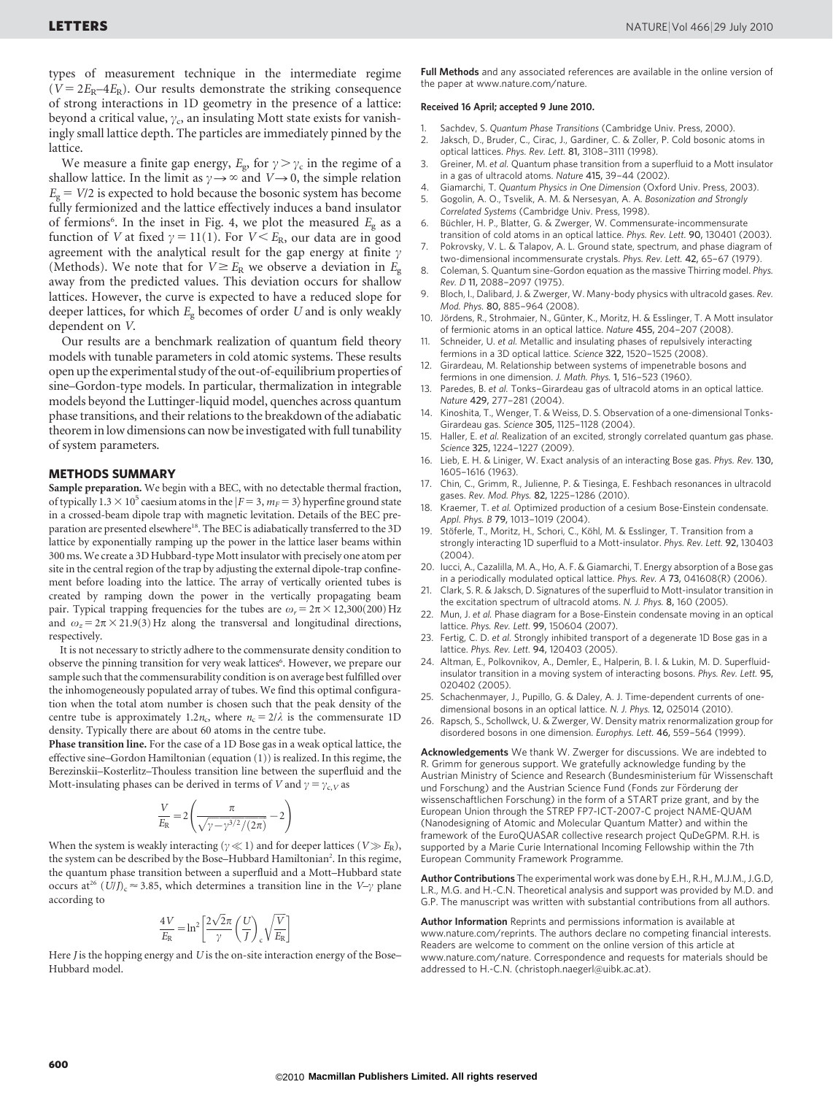types of measurement technique in the intermediate regime ( $V = 2E_R - 4E_R$ ). Our results demonstrate the striking consequence of strong interactions in 1D geometry in the presence of a lattice: beyond a critical value,  $\gamma_c$ , an insulating Mott state exists for vanishingly small lattice depth. The particles are immediately pinned by the lattice.

We measure a finite gap energy,  $E_{\rm g}$ , for  $\gamma > \gamma_{\rm c}$  in the regime of a shallow lattice. In the limit as  $\gamma \rightarrow \infty$  and  $V \rightarrow 0$ , the simple relation  $E<sub>g</sub> = V/2$  is expected to hold because the bosonic system has become fully fermionized and the lattice effectively induces a band insulator of fermions<sup>6</sup>. In the inset in Fig. 4, we plot the measured  $E<sub>g</sub>$  as a function of V at fixed  $\gamma = 11(1)$ . For  $V \le E_R$ , our data are in good agreement with the analytical result for the gap energy at finite  $\gamma$ (Methods). We note that for  $V \geq E_R$  we observe a deviation in  $E_g$ away from the predicted values. This deviation occurs for shallow lattices. However, the curve is expected to have a reduced slope for deeper lattices, for which  $E_g$  becomes of order U and is only weakly dependent on V.

Our results are a benchmark realization of quantum field theory models with tunable parameters in cold atomic systems. These results open up the experimental study of the out-of-equilibrium properties of sine–Gordon-type models. In particular, thermalization in integrable models beyond the Luttinger-liquid model, quenches across quantum phase transitions, and their relations to the breakdown of the adiabatic theorem in low dimensions can now be investigated with full tunability of system parameters.

#### METHODS SUMMARY

Sample preparation. We begin with a BEC, with no detectable thermal fraction, of typically  $1.3 \times 10^5$  caesium atoms in the  $|F = 3, m_F = 3\rangle$  hyperfine ground state in a crossed-beam dipole trap with magnetic levitation. Details of the BEC preparation are presented elsewhere<sup>18</sup>. The BEC is adiabatically transferred to the 3D lattice by exponentially ramping up the power in the lattice laser beams within 300 ms. We create a 3D Hubbard-type Mott insulator with precisely one atom per site in the central region of the trap by adjusting the external dipole-trap confinement before loading into the lattice. The array of vertically oriented tubes is created by ramping down the power in the vertically propagating beam pair. Typical trapping frequencies for the tubes are  $\omega_r = 2\pi \times 12,300(200)$  Hz and  $\omega_z = 2\pi \times 21.9(3)$  Hz along the transversal and longitudinal directions, respectively.

It is not necessary to strictly adhere to the commensurate density condition to observe the pinning transition for very weak lattices<sup>6</sup>. However, we prepare our sample such that the commensurability condition is on average best fulfilled over the inhomogeneously populated array of tubes. We find this optimal configuration when the total atom number is chosen such that the peak density of the centre tube is approximately 1.2 $n_c$ , where  $n_c = 2/\lambda$  is the commensurate 1D density. Typically there are about 60 atoms in the centre tube.

Phase transition line. For the case of a 1D Bose gas in a weak optical lattice, the effective sine–Gordon Hamiltonian (equation (1)) is realized. In this regime, the Berezinskii–Kosterlitz–Thouless transition line between the superfluid and the Mott-insulating phases can be derived in terms of V and  $\gamma = \gamma_{c,V}$  as

$$
\frac{V}{E_{\rm R}} = 2\left(\frac{\pi}{\sqrt{\gamma - \gamma^{3/2}/(2\pi)}} - 2\right)
$$

When the system is weakly interacting ( $\gamma \ll 1$ ) and for deeper lattices ( $V \gg E_R$ ), the system can be described by the Bose-Hubbard Hamiltonian<sup>2</sup>. In this regime, the quantum phase transition between a superfluid and a Mott–Hubbard state occurs at<sup>26</sup> (U/J)<sub>c</sub>  $\approx$  3.85, which determines a transition line in the V– $\gamma$  plane according to

$$
\frac{4V}{E_{\rm R}} = \ln^2 \left[ \frac{2\sqrt{2}\pi}{\gamma} \left( \frac{U}{J} \right)_{\rm c} \sqrt{\frac{V}{E_{\rm R}}} \right]
$$

Here  $J$  is the hopping energy and  $U$  is the on-site interaction energy of the Bose– Hubbard model.

Full Methods and any associated references are available in the online version of the paper at<www.nature.com/nature>.

#### Received 16 April; accepted 9 June 2010.

- 1. Sachdev, S. Quantum Phase Transitions (Cambridge Univ. Press, 2000).<br>2. Jaksch D. Bruder, C. Cirac, J. Gardiner, C. & Zoller, P. Cold bosonic at
- Jaksch, D., Bruder, C., Cirac, J., Gardiner, C. & Zoller, P. Cold bosonic atoms in optical lattices. Phys. Rev. Lett. 81, 3108–3111 (1998).
- Greiner, M. et al. Quantum phase transition from a superfluid to a Mott insulator in a gas of ultracold atoms. Nature 415, 39–44 (2002).
- 4. Giamarchi, T. Quantum Physics in One Dimension (Oxford Univ. Press, 2003). 5. Gogolin, A. O., Tsvelik, A. M. & Nersesyan, A. A. Bosonization and Strongly
- Correlated Systems (Cambridge Univ. Press, 1998). 6. Büchler, H. P., Blatter, G. & Zwerger, W. Commensurate-incommensurate
- transition of cold atoms in an optical lattice. Phys. Rev. Lett. 90, 130401 (2003). 7. Pokrovsky, V. L. & Talapov, A. L. Ground state, spectrum, and phase diagram of
- two-dimensional incommensurate crystals. Phys. Rev. Lett. 42, 65–67 (1979). 8. Coleman, S. Quantum sine-Gordon equation as the massive Thirring model. Phys.
- Rev. D 11, 2088–2097 (1975).
- 9. Bloch, I., Dalibard, J. & Zwerger, W. Many-body physics with ultracold gases. Rev. Mod. Phys. 80, 885–964 (2008).
- 10. Jördens, R., Strohmaier, N., Günter, K., Moritz, H. & Esslinger, T. A Mott insulator of fermionic atoms in an optical lattice. Nature 455, 204–207 (2008).
- Schneider, U. et al. Metallic and insulating phases of repulsively interacting fermions in a 3D optical lattice. Science 322, 1520–1525 (2008).
- 12. Girardeau, M. Relationship between systems of impenetrable bosons and fermions in one dimension. J. Math. Phys. 1, 516–523 (1960).
- 13. Paredes, B. et al. Tonks–Girardeau gas of ultracold atoms in an optical lattice. Nature 429, 277–281 (2004).
- 14. Kinoshita, T., Wenger, T. & Weiss, D. S. Observation of a one-dimensional Tonks-Girardeau gas. Science 305, 1125–1128 (2004).
- 15. Haller, E. et al. Realization of an excited, strongly correlated quantum gas phase. Science 325, 1224–1227 (2009).
- 16. Lieb, E. H. & Liniger, W. Exact analysis of an interacting Bose gas. Phys. Rev. 130, 1605–1616 (1963).
- 17. Chin, C., Grimm, R., Julienne, P. & Tiesinga, E. Feshbach resonances in ultracold gases. Rev. Mod. Phys. 82, 1225–1286 (2010).
- Kraemer, T. et al. Optimized production of a cesium Bose-Einstein condensate. Appl. Phys. B 79, 1013–1019 (2004).
- Stöferle, T., Moritz, H., Schori, C., Köhl, M. & Esslinger, T. Transition from a strongly interacting 1D superfluid to a Mott-insulator. Phys. Rev. Lett. 92, 130403  $(2004)$ .
- 20. Iucci, A., Cazalilla, M. A., Ho, A. F. & Giamarchi, T. Energy absorption of a Bose gas in a periodically modulated optical lattice. Phys. Rev. A 73, 041608(R) (2006).
- 21. Clark, S. R. & Jaksch, D. Signatures of the superfluid to Mott-insulator transition in the excitation spectrum of ultracold atoms. N. J. Phys. 8, 160 (2005).
- 22. Mun, J. et al. Phase diagram for a Bose-Einstein condensate moving in an optical lattice. Phys. Rev. Lett. 99, 150604 (2007).
- 23. Fertig, C. D. et al. Strongly inhibited transport of a degenerate 1D Bose gas in a lattice. Phys. Rev. Lett. 94, 120403 (2005).
- 24. Altman, E., Polkovnikov, A., Demler, E., Halperin, B. I. & Lukin, M. D. Superfluidinsulator transition in a moving system of interacting bosons. Phys. Rev. Lett. 95, 020402 (2005).
- Schachenmayer, J., Pupillo, G. & Daley, A. J. Time-dependent currents of onedimensional bosons in an optical lattice. N. J. Phys. 12, 025014 (2010).
- 26. Rapsch, S., Schollwck, U. & Zwerger, W. Density matrix renormalization group for disordered bosons in one dimension. Europhys. Lett. 46, 559–564 (1999).

Acknowledgements We thank W. Zwerger for discussions. We are indebted to R. Grimm for generous support. We gratefully acknowledge funding by the Austrian Ministry of Science and Research (Bundesministerium für Wissenschaft und Forschung) and the Austrian Science Fund (Fonds zur Förderung der wissenschaftlichen Forschung) in the form of a START prize grant, and by the European Union through the STREP FP7-ICT-2007-C project NAME-QUAM (Nanodesigning of Atomic and Molecular Quantum Matter) and within the framework of the EuroQUASAR collective research project QuDeGPM. R.H. is supported by a Marie Curie International Incoming Fellowship within the 7th European Community Framework Programme.

Author Contributions The experimental work was done by E.H., R.H., M.J.M., J.G.D, L.R., M.G. and H.-C.N. Theoretical analysis and support was provided by M.D. and G.P. The manuscript was written with substantial contributions from all authors.

Author Information Reprints and permissions information is available at <www.nature.com/reprints>. The authors declare no competing financial interests. Readers are welcome to comment on the online version of this article at <www.nature.com/nature>. Correspondence and requests for materials should be addressed to H.-C.N. [\(christoph.naegerl@uibk.ac.at\).](mailto:christoph.naegerl@uibk.ac.at)